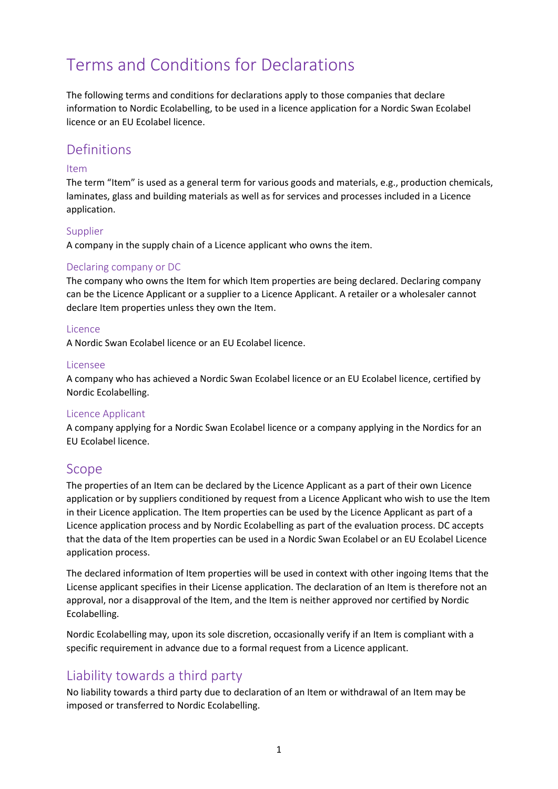# Terms and Conditions for Declarations

The following terms and conditions for declarations apply to those companies that declare information to Nordic Ecolabelling, to be used in a licence application for a Nordic Swan Ecolabel licence or an EU Ecolabel licence.

### Definitions

### Item

The term "Item" is used as a general term for various goods and materials, e.g., production chemicals, laminates, glass and building materials as well as for services and processes included in a Licence application.

### Supplier

A company in the supply chain of a Licence applicant who owns the item.

### Declaring company or DC

The company who owns the Item for which Item properties are being declared. Declaring company can be the Licence Applicant or a supplier to a Licence Applicant. A retailer or a wholesaler cannot declare Item properties unless they own the Item.

#### **Licence**

A Nordic Swan Ecolabel licence or an EU Ecolabel licence.

#### Licensee

A company who has achieved a Nordic Swan Ecolabel licence or an EU Ecolabel licence, certified by Nordic Ecolabelling.

#### Licence Applicant

A company applying for a Nordic Swan Ecolabel licence or a company applying in the Nordics for an EU Ecolabel licence.

### Scope

The properties of an Item can be declared by the Licence Applicant as a part of their own Licence application or by suppliers conditioned by request from a Licence Applicant who wish to use the Item in their Licence application. The Item properties can be used by the Licence Applicant as part of a Licence application process and by Nordic Ecolabelling as part of the evaluation process. DC accepts that the data of the Item properties can be used in a Nordic Swan Ecolabel or an EU Ecolabel Licence application process.

The declared information of Item properties will be used in context with other ingoing Items that the License applicant specifies in their License application. The declaration of an Item is therefore not an approval, nor a disapproval of the Item, and the Item is neither approved nor certified by Nordic Ecolabelling.

Nordic Ecolabelling may, upon its sole discretion, occasionally verify if an Item is compliant with a specific requirement in advance due to a formal request from a Licence applicant.

### Liability towards a third party

No liability towards a third party due to declaration of an Item or withdrawal of an Item may be imposed or transferred to Nordic Ecolabelling.